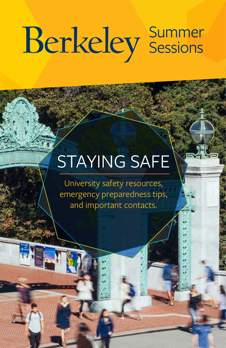# **Berkeley** Summer

# STAYING SAFE

University safety resources, emergency preparedness tips, and important contacts.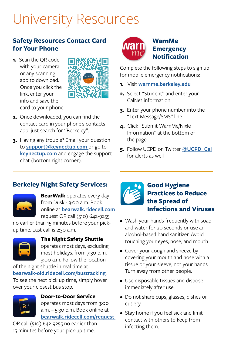# University Resources

#### **Safety Resources Contact Card for Your Phone**

**1.** Scan the QR code with your camera or any scanning app to download. Once you click the link, enter your info and save the card to your phone.



- **2.** Once downloaded, you can find the contact card in your phone's contacts app; just search for "Berkeley".
- **3.** Having any trouble? Email your question to **[support@keynectup.com](mailto:support%40keynectup.com?subject=)** or go to **[keynectup.com](https://www.keynectup.com/)** and engage the support chat (bottom right corner).



Complete the following steps to sign up for mobile emergency notifications:

- **1.** Visit **[warnme.berkeley.edu](mailto:https://warnme.berkeley.edu/?subject=)**
- **2.** Select "Student" and enter your CalNet information
- **3.** Enter your phone number into the "Text Message/SMS" line
- **4.** Click "Submit WarnMe/Nixle Information" at the bottom of the page
- **5.** Follow UCPD on Twitter **[@UCPD\\_Cal](https://twitter.com/ucpd_cal?lang=en)**  for alerts as well

#### **Berkeley Night Safety Services:**



**BearWalk** operates every day from Dusk - 3:00 a.m. Book online at **[bearwalk.ridecell.com](https://bearwalk.ridecell.com/request)** request OR call (510) 642-9255

no earlier than 15 minutes before your pickup time. Last call is 2:30 a.m.



**The Night Safety Shuttle**  operates most days, excluding

most holidays, from 7:30 p.m. – 3:00 a.m. Follow the location

of the night shuttle in real time at **[bearwalk-old.ridecell.com/bustracking](http://bearwalk-old.ridecell.com/bustracking)**. To see the next pick up time, simply hover over your closest bus stop.



**Door-to-Door Service** operates most days from 3:00 a.m. – 5:30 p.m. Book online at **[bearwalk.ridecell.com/request](mailto:https://bearwalk.ridecell.com/request?subject=)** 

OR call (510) 642-9255 no earlier than 15 minutes before your pick-up time.



- Wash your hands frequently with soap and water for 20 seconds or use an alcohol-based hand sanitizer. Avoid touching your eyes, nose, and mouth.
- Cover your cough and sneeze by covering your mouth and nose with a tissue or your sleeve, not your hands. Turn away from other people.
- Use disposable tissues and dispose immediately after use.
- Do not share cups, glasses, dishes or cutlery.
- Stay home if you feel sick and limit contact with others to keep from infecting them.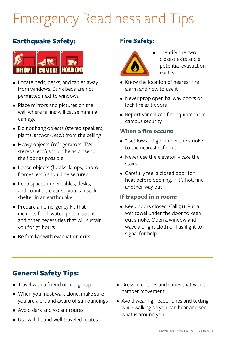# Emergency Readiness and Tips

#### **Earthquake Safety:**



- Locate beds, desks, and tables away from windows. Bunk beds are not permitted next to windows
- Place mirrors and pictures on the wall where falling will cause minimal damage
- Do not hang objects (stereo speakers, plants, artwork, etc.) from the ceiling
- Heavy objects (refrigerators, TVs, stereos, etc.) should be as close to the floor as possible
- Loose objects (books, lamps, photo frames, etc.) should be secured
- Keep spaces under tables, desks, and counters clear so you can seek shelter in an earthquake
- Prepare an emergency kit that includes food, water, prescriptions, and other necessities that will sustain you for 72 hours
- Be familiar with evacuation exits

#### **Fire Safety:**



- Identify the two closest exits and all potential evacuation routes
- Know the location of nearest fire alarm and how to use it
- Never prop open hallway doors or lock fire exit doors
- Report vandalized fire equipment to campus security

#### **When a fire occurs:**

- "Get low and go" under the smoke to the nearest safe exit
- Never use the elevator take the stairs
- Carefully feel a closed door for heat before opening. If it's hot, find another way out

#### **If trapped in a room:**

• Keep doors closed. Call 911. Put a wet towel under the door to keep out smoke. Open a window and wave a bright cloth or flashlight to signal for help.

#### **General Safety Tips:**

- Travel with a friend or in a group
- When you must walk alone, make sure you are alert and aware of surroundings
- Avoid dark and vacant routes
- Use well-lit and well-traveled routes
- Dress in clothes and shoes that won't hamper movement
- Avoid wearing headphones and texting while walking so you can hear and see what is around you